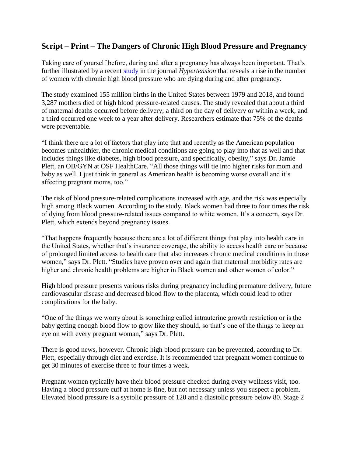## **Script – Print – The Dangers of Chronic High Blood Pressure and Pregnancy**

Taking care of yourself before, during and after a pregnancy has always been important. That's further illustrated by a recent [study](https://www.ahajournals.org/doi/10.1161/HYPERTENSIONAHA.121.17661) in the journal *Hypertension* that reveals a rise in the number of women with chronic high blood pressure who are dying during and after pregnancy.

The study examined 155 million births in the United States between 1979 and 2018, and found 3,287 mothers died of high blood pressure-related causes. The study revealed that about a third of maternal deaths occurred before delivery; a third on the day of delivery or within a week, and a third occurred one week to a year after delivery. Researchers estimate that 75% of the deaths were preventable.

"I think there are a lot of factors that play into that and recently as the American population becomes unhealthier, the chronic medical conditions are going to play into that as well and that includes things like diabetes, high blood pressure, and specifically, obesity," says Dr. Jamie Plett, an OB/GYN at OSF HealthCare. "All those things will tie into higher risks for mom and baby as well. I just think in general as American health is becoming worse overall and it's affecting pregnant moms, too."

The risk of blood pressure-related complications increased with age, and the risk was especially high among Black women. According to the study, Black women had three to four times the risk of dying from blood pressure-related issues compared to white women. It's a concern, says Dr. Plett, which extends beyond pregnancy issues.

"That happens frequently because there are a lot of different things that play into health care in the United States, whether that's insurance coverage, the ability to access health care or because of prolonged limited access to health care that also increases chronic medical conditions in those women," says Dr. Plett. "Studies have proven over and again that maternal morbidity rates are higher and chronic health problems are higher in Black women and other women of color."

High blood pressure presents various risks during pregnancy including premature delivery, future cardiovascular disease and decreased blood flow to the placenta, which could lead to other complications for the baby.

"One of the things we worry about is something called intrauterine growth restriction or is the baby getting enough blood flow to grow like they should, so that's one of the things to keep an eye on with every pregnant woman," says Dr. Plett.

There is good news, however. Chronic high blood pressure can be prevented, according to Dr. Plett, especially through diet and exercise. It is recommended that pregnant women continue to get 30 minutes of exercise three to four times a week.

Pregnant women typically have their blood pressure checked during every wellness visit, too. Having a blood pressure cuff at home is fine, but not necessary unless you suspect a problem. Elevated blood pressure is a systolic pressure of 120 and a diastolic pressure below 80. Stage 2